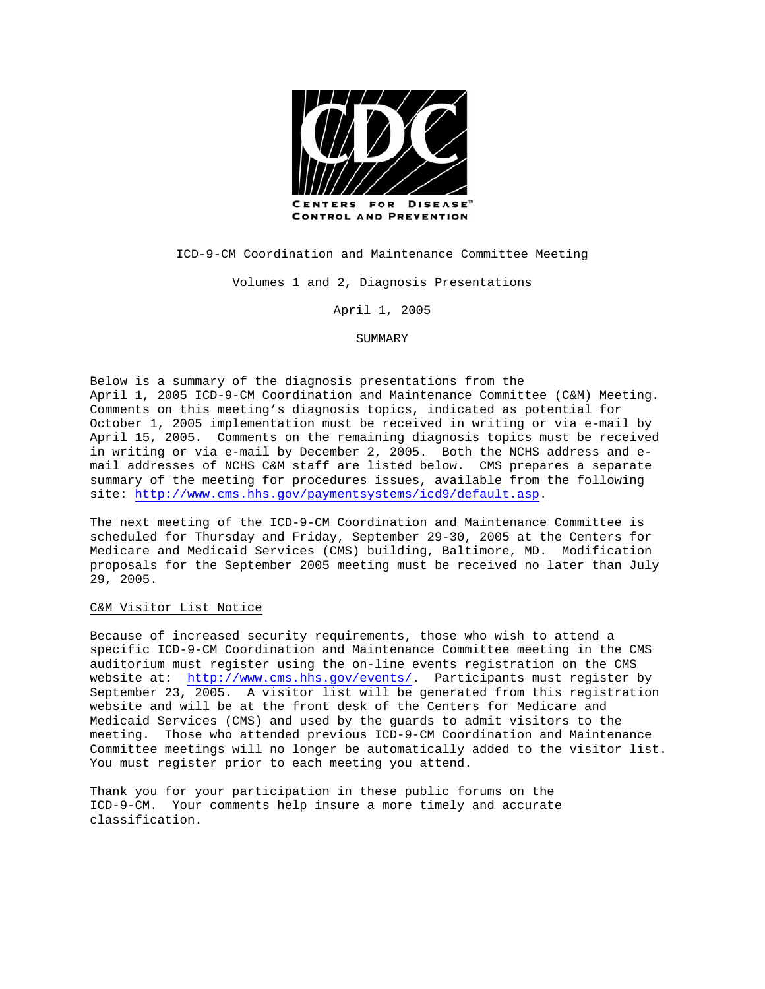

**CONTROL AND PREVENTION** 

ICD-9-CM Coordination and Maintenance Committee Meeting

Volumes 1 and 2, Diagnosis Presentations

April 1, 2005

SUMMARY

Below is a summary of the diagnosis presentations from the April 1, 2005 ICD-9-CM Coordination and Maintenance Committee (C&M) Meeting. Comments on this meeting's diagnosis topics, indicated as potential for October 1, 2005 implementation must be received in writing or via e-mail by April 15, 2005. Comments on the remaining diagnosis topics must be received in writing or via e-mail by December 2, 2005. Both the NCHS address and email addresses of NCHS C&M staff are listed below. CMS prepares a separate summary of the meeting for procedures issues, available from the following site:<http://www.cms.hhs.gov/paymentsystems/icd9/default.asp>.

The next meeting of the ICD-9-CM Coordination and Maintenance Committee is scheduled for Thursday and Friday, September 29-30, 2005 at the Centers for Medicare and Medicaid Services (CMS) building, Baltimore, MD. Modification proposals for the September 2005 meeting must be received no later than July 29, 2005.

#### C&M Visitor List Notice

Because of increased security requirements, those who wish to attend a specific ICD-9-CM Coordination and Maintenance Committee meeting in the CMS auditorium must register using the on-line events registration on the CMS website at: <http://www.cms.hhs.gov/events/>. Participants must register by September 23, 2005. A visitor list will be generated from this registration website and will be at the front desk of the Centers for Medicare and Medicaid Services (CMS) and used by the guards to admit visitors to the meeting. Those who attended previous ICD-9-CM Coordination and Maintenance Committee meetings will no longer be automatically added to the visitor list. You must register prior to each meeting you attend.

Thank you for your participation in these public forums on the ICD-9-CM. Your comments help insure a more timely and accurate classification.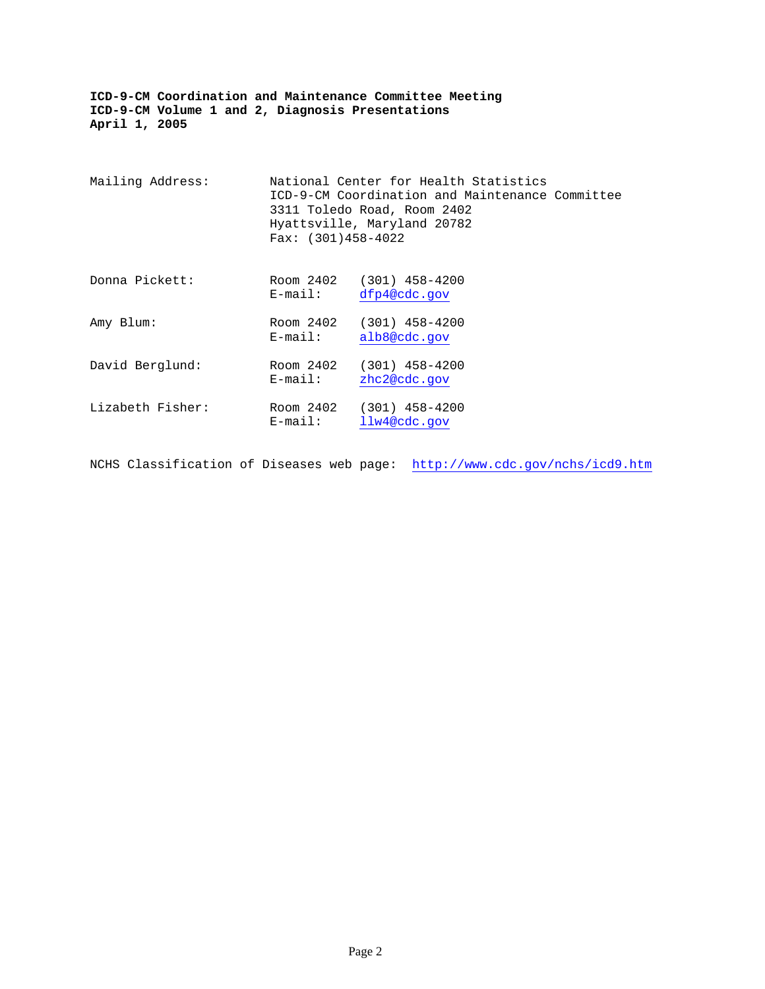| Mailing Address: | $Fax: (301)458-4022$    | National Center for Health Statistics<br>ICD-9-CM Coordination and Maintenance Committee<br>3311 Toledo Road, Room 2402<br>Hyattsville, Maryland 20782 |  |
|------------------|-------------------------|--------------------------------------------------------------------------------------------------------------------------------------------------------|--|
| Donna Pickett:   | Room 2402<br>$E$ -mail: | $(301)$ 458-4200<br>dfp4@cdc.gov                                                                                                                       |  |
| Amy Blum:        | Room 2402<br>$E$ -mail: | $(301)$ 458-4200<br>alb8@cdc.gov                                                                                                                       |  |
| David Berglund:  | Room 2402<br>$E$ -mail: | $(301)$ 458-4200<br>zhc2@cdc.gov                                                                                                                       |  |
| Lizabeth Fisher: | Room 2402<br>$E$ -mail: | $(301)$ 458-4200<br>llw4@cdc.gov                                                                                                                       |  |

NCHS Classification of Diseases web page: <http://www.cdc.gov/nchs/icd9.htm>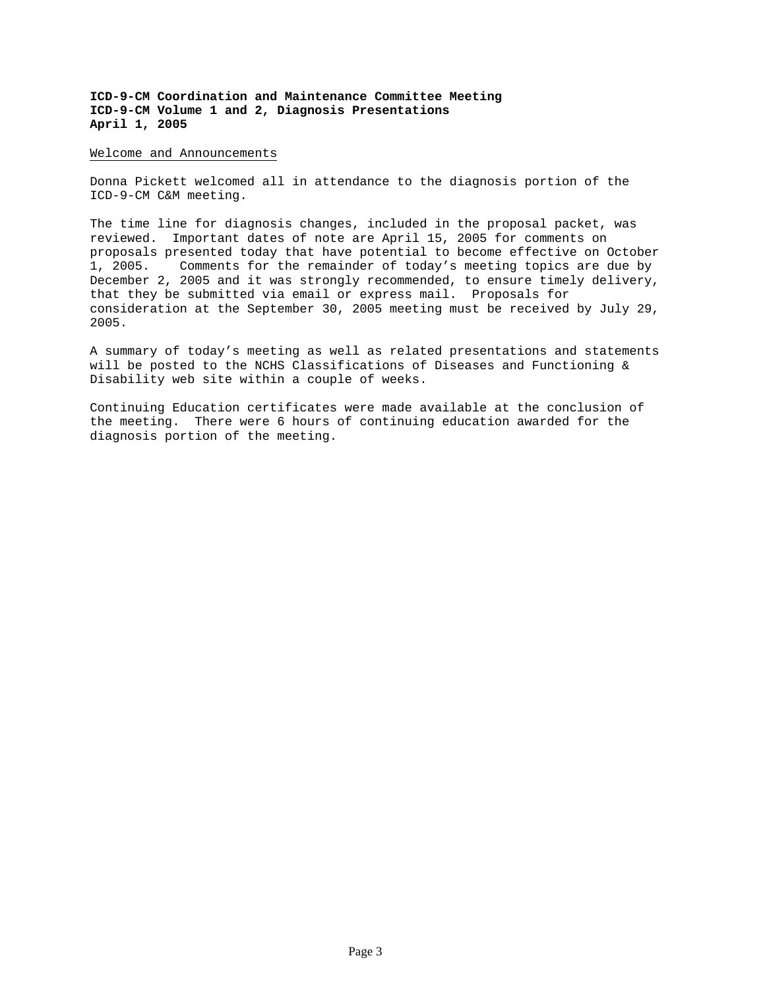#### Welcome and Announcements

Donna Pickett welcomed all in attendance to the diagnosis portion of the ICD-9-CM C&M meeting.

The time line for diagnosis changes, included in the proposal packet, was reviewed. Important dates of note are April 15, 2005 for comments on proposals presented today that have potential to become effective on October 1, 2005. Comments for the remainder of today's meeting topics are due by December 2, 2005 and it was strongly recommended, to ensure timely delivery, that they be submitted via email or express mail. Proposals for consideration at the September 30, 2005 meeting must be received by July 29, 2005.

A summary of today's meeting as well as related presentations and statements will be posted to the NCHS Classifications of Diseases and Functioning & Disability web site within a couple of weeks.

Continuing Education certificates were made available at the conclusion of the meeting. There were 6 hours of continuing education awarded for the diagnosis portion of the meeting.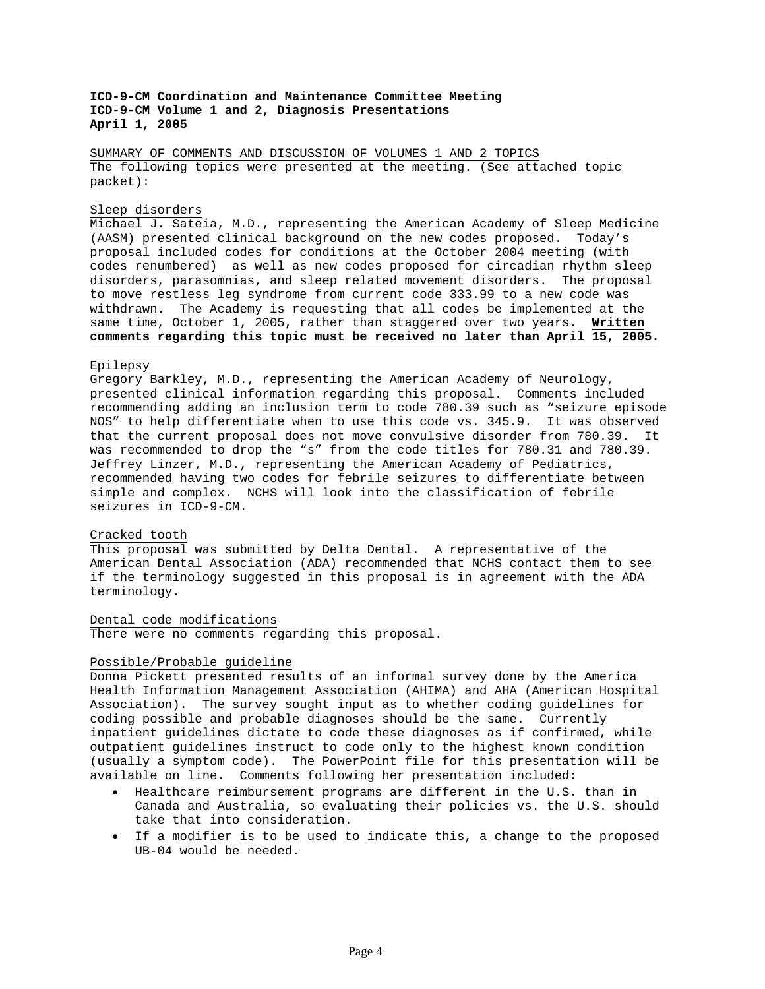SUMMARY OF COMMENTS AND DISCUSSION OF VOLUMES 1 AND 2 TOPICS The following topics were presented at the meeting. (See attached topic packet):

### Sleep disorders

Michael J. Sateia, M.D., representing the American Academy of Sleep Medicine (AASM) presented clinical background on the new codes proposed. Today's proposal included codes for conditions at the October 2004 meeting (with codes renumbered) as well as new codes proposed for circadian rhythm sleep disorders, parasomnias, and sleep related movement disorders. The proposal to move restless leg syndrome from current code 333.99 to a new code was withdrawn. The Academy is requesting that all codes be implemented at the same time, October 1, 2005, rather than staggered over two years. **Written comments regarding this topic must be received no later than April 15, 2005.** 

#### Epilepsy

Gregory Barkley, M.D., representing the American Academy of Neurology, presented clinical information regarding this proposal. Comments included recommending adding an inclusion term to code 780.39 such as "seizure episode NOS" to help differentiate when to use this code vs. 345.9. It was observed that the current proposal does not move convulsive disorder from 780.39. It was recommended to drop the "s" from the code titles for 780.31 and 780.39. Jeffrey Linzer, M.D., representing the American Academy of Pediatrics, recommended having two codes for febrile seizures to differentiate between simple and complex. NCHS will look into the classification of febrile seizures in ICD-9-CM.

## Cracked tooth

This proposal was submitted by Delta Dental. A representative of the American Dental Association (ADA) recommended that NCHS contact them to see if the terminology suggested in this proposal is in agreement with the ADA terminology.

## Dental code modifications

There were no comments regarding this proposal.

#### Possible/Probable guideline

Donna Pickett presented results of an informal survey done by the America Health Information Management Association (AHIMA) and AHA (American Hospital Association). The survey sought input as to whether coding guidelines for coding possible and probable diagnoses should be the same. Currently inpatient guidelines dictate to code these diagnoses as if confirmed, while outpatient guidelines instruct to code only to the highest known condition (usually a symptom code). The PowerPoint file for this presentation will be available on line. Comments following her presentation included:

- Healthcare reimbursement programs are different in the U.S. than in Canada and Australia, so evaluating their policies vs. the U.S. should take that into consideration.
- If a modifier is to be used to indicate this, a change to the proposed UB-04 would be needed.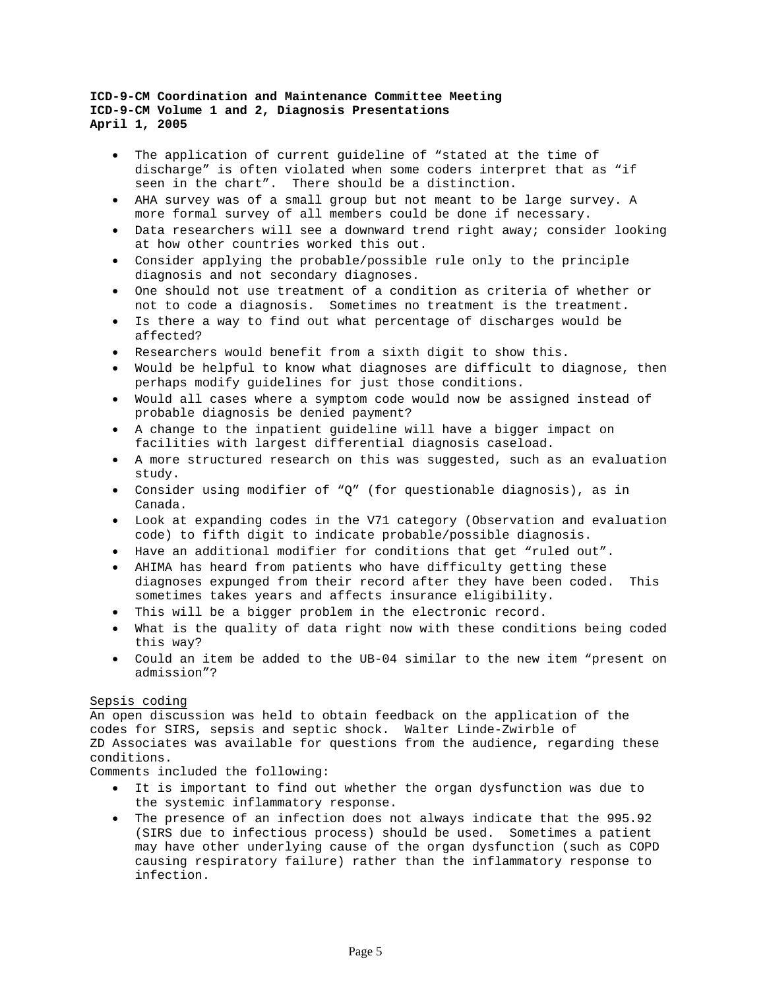- The application of current quideline of "stated at the time of discharge" is often violated when some coders interpret that as "if seen in the chart". There should be a distinction.
- AHA survey was of a small group but not meant to be large survey. A more formal survey of all members could be done if necessary.
- Data researchers will see a downward trend right away; consider looking at how other countries worked this out.
- Consider applying the probable/possible rule only to the principle diagnosis and not secondary diagnoses.
- One should not use treatment of a condition as criteria of whether or not to code a diagnosis. Sometimes no treatment is the treatment.
- Is there a way to find out what percentage of discharges would be affected?
- Researchers would benefit from a sixth digit to show this.
- Would be helpful to know what diagnoses are difficult to diagnose, then perhaps modify guidelines for just those conditions.
- Would all cases where a symptom code would now be assigned instead of probable diagnosis be denied payment?
- A change to the inpatient guideline will have a bigger impact on facilities with largest differential diagnosis caseload.
- A more structured research on this was suggested, such as an evaluation study.
- Consider using modifier of "Q" (for questionable diagnosis), as in Canada.
- Look at expanding codes in the V71 category (Observation and evaluation code) to fifth digit to indicate probable/possible diagnosis.
- Have an additional modifier for conditions that get "ruled out".
- AHIMA has heard from patients who have difficulty getting these diagnoses expunged from their record after they have been coded. This sometimes takes years and affects insurance eligibility.
- This will be a bigger problem in the electronic record.
- What is the quality of data right now with these conditions being coded this way?
- Could an item be added to the UB-04 similar to the new item "present on admission"?

## Sepsis coding

An open discussion was held to obtain feedback on the application of the codes for SIRS, sepsis and septic shock. Walter Linde-Zwirble of ZD Associates was available for questions from the audience, regarding these conditions.

Comments included the following:

- It is important to find out whether the organ dysfunction was due to the systemic inflammatory response.
- The presence of an infection does not always indicate that the 995.92 (SIRS due to infectious process) should be used. Sometimes a patient may have other underlying cause of the organ dysfunction (such as COPD causing respiratory failure) rather than the inflammatory response to infection.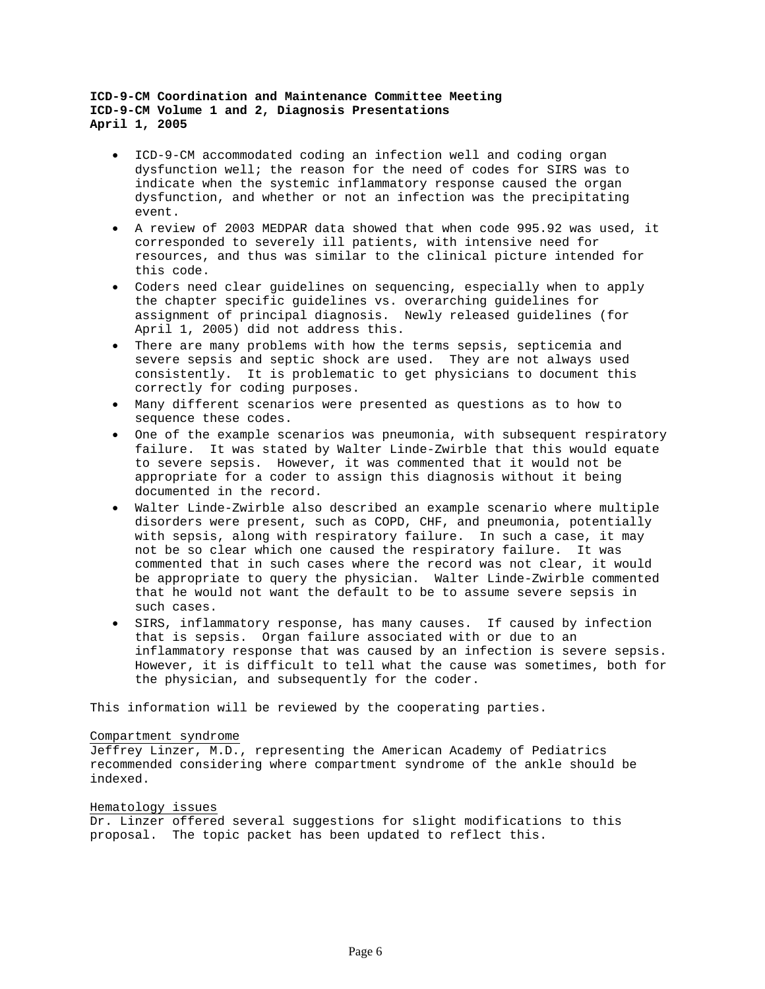- ICD-9-CM accommodated coding an infection well and coding organ dysfunction well; the reason for the need of codes for SIRS was to indicate when the systemic inflammatory response caused the organ dysfunction, and whether or not an infection was the precipitating event.
- A review of 2003 MEDPAR data showed that when code 995.92 was used, it corresponded to severely ill patients, with intensive need for resources, and thus was similar to the clinical picture intended for this code.
- Coders need clear guidelines on sequencing, especially when to apply the chapter specific guidelines vs. overarching guidelines for assignment of principal diagnosis. Newly released guidelines (for April 1, 2005) did not address this.
- There are many problems with how the terms sepsis, septicemia and severe sepsis and septic shock are used. They are not always used consistently. It is problematic to get physicians to document this correctly for coding purposes.
- Many different scenarios were presented as questions as to how to sequence these codes.
- One of the example scenarios was pneumonia, with subsequent respiratory failure. It was stated by Walter Linde-Zwirble that this would equate to severe sepsis. However, it was commented that it would not be appropriate for a coder to assign this diagnosis without it being documented in the record.
- Walter Linde-Zwirble also described an example scenario where multiple disorders were present, such as COPD, CHF, and pneumonia, potentially with sepsis, along with respiratory failure. In such a case, it may not be so clear which one caused the respiratory failure. It was commented that in such cases where the record was not clear, it would be appropriate to query the physician. Walter Linde-Zwirble commented that he would not want the default to be to assume severe sepsis in such cases.
- SIRS, inflammatory response, has many causes. If caused by infection that is sepsis. Organ failure associated with or due to an inflammatory response that was caused by an infection is severe sepsis. However, it is difficult to tell what the cause was sometimes, both for the physician, and subsequently for the coder.

This information will be reviewed by the cooperating parties.

## Compartment syndrome

Jeffrey Linzer, M.D., representing the American Academy of Pediatrics recommended considering where compartment syndrome of the ankle should be indexed.

## Hematology issues

Dr. Linzer offered several suggestions for slight modifications to this proposal. The topic packet has been updated to reflect this.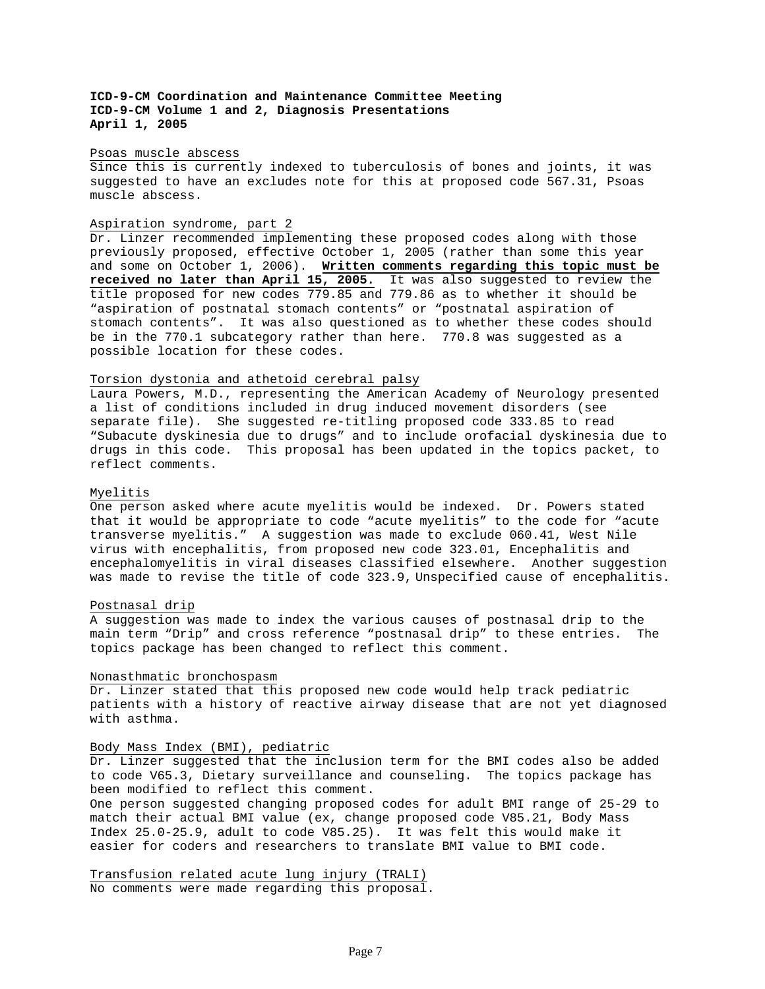## Psoas muscle abscess

Since this is currently indexed to tuberculosis of bones and joints, it was suggested to have an excludes note for this at proposed code 567.31, Psoas muscle abscess.

### Aspiration syndrome, part 2

Dr. Linzer recommended implementing these proposed codes along with those previously proposed, effective October 1, 2005 (rather than some this year and some on October 1, 2006). **Written comments regarding this topic must be received no later than April 15, 2005.** It was also suggested to review the title proposed for new codes 779.85 and 779.86 as to whether it should be "aspiration of postnatal stomach contents" or "postnatal aspiration of stomach contents". It was also questioned as to whether these codes should be in the 770.1 subcategory rather than here. 770.8 was suggested as a possible location for these codes.

## Torsion dystonia and athetoid cerebral palsy

Laura Powers, M.D., representing the American Academy of Neurology presented a list of conditions included in drug induced movement disorders (see separate file). She suggested re-titling proposed code 333.85 to read "Subacute dyskinesia due to drugs" and to include orofacial dyskinesia due to drugs in this code. This proposal has been updated in the topics packet, to reflect comments.

#### Myelitis

One person asked where acute myelitis would be indexed. Dr. Powers stated that it would be appropriate to code "acute myelitis" to the code for "acute transverse myelitis." A suggestion was made to exclude 060.41, West Nile virus with encephalitis, from proposed new code 323.01, Encephalitis and encephalomyelitis in viral diseases classified elsewhere. Another suggestion was made to revise the title of code 323.9, Unspecified cause of encephalitis.

#### Postnasal drip

A suggestion was made to index the various causes of postnasal drip to the main term "Drip" and cross reference "postnasal drip" to these entries. The topics package has been changed to reflect this comment.

#### Nonasthmatic bronchospasm

Dr. Linzer stated that this proposed new code would help track pediatric patients with a history of reactive airway disease that are not yet diagnosed with asthma.

#### Body Mass Index (BMI), pediatric

Dr. Linzer suggested that the inclusion term for the BMI codes also be added to code V65.3, Dietary surveillance and counseling. The topics package has been modified to reflect this comment.

One person suggested changing proposed codes for adult BMI range of 25-29 to match their actual BMI value (ex, change proposed code V85.21, Body Mass Index 25.0-25.9, adult to code V85.25). It was felt this would make it easier for coders and researchers to translate BMI value to BMI code.

Transfusion related acute lung injury (TRALI) No comments were made regarding this proposal.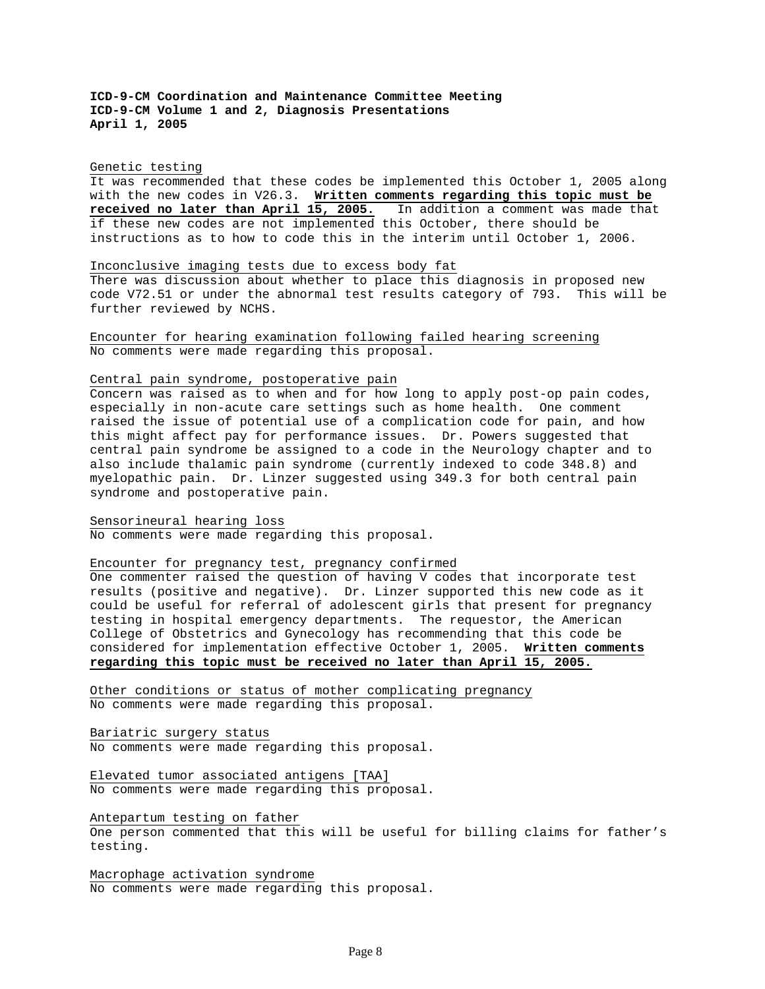#### Genetic testing

It was recommended that these codes be implemented this October 1, 2005 along with the new codes in V26.3. **Written comments regarding this topic must be received no later than April 15, 2005.** In addition a comment was made that if these new codes are not implemented this October, there should be instructions as to how to code this in the interim until October 1, 2006.

## Inconclusive imaging tests due to excess body fat

There was discussion about whether to place this diagnosis in proposed new code V72.51 or under the abnormal test results category of 793. This will be further reviewed by NCHS.

Encounter for hearing examination following failed hearing screening No comments were made regarding this proposal.

### Central pain syndrome, postoperative pain

Concern was raised as to when and for how long to apply post-op pain codes, especially in non-acute care settings such as home health. One comment raised the issue of potential use of a complication code for pain, and how this might affect pay for performance issues. Dr. Powers suggested that central pain syndrome be assigned to a code in the Neurology chapter and to also include thalamic pain syndrome (currently indexed to code 348.8) and myelopathic pain. Dr. Linzer suggested using 349.3 for both central pain syndrome and postoperative pain.

## Sensorineural hearing loss

No comments were made regarding this proposal.

## Encounter for pregnancy test, pregnancy confirmed

One commenter raised the question of having V codes that incorporate test results (positive and negative). Dr. Linzer supported this new code as it could be useful for referral of adolescent girls that present for pregnancy testing in hospital emergency departments. The requestor, the American College of Obstetrics and Gynecology has recommending that this code be considered for implementation effective October 1, 2005. **Written comments regarding this topic must be received no later than April 15, 2005.**

Other conditions or status of mother complicating pregnancy No comments were made regarding this proposal.

Bariatric surgery status No comments were made regarding this proposal.

Elevated tumor associated antigens [TAA] No comments were made regarding this proposal.

Antepartum testing on father One person commented that this will be useful for billing claims for father's testing.

Macrophage activation syndrome No comments were made regarding this proposal.